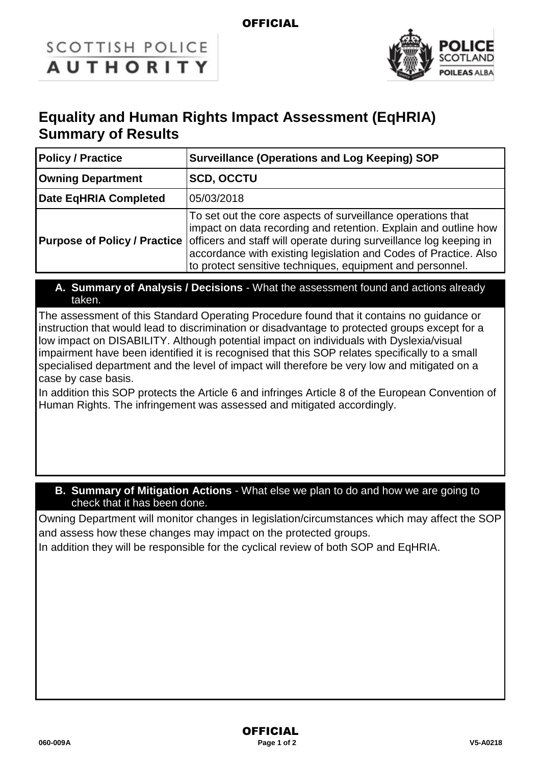### **OFFICIAL**

# **SCOTTISH POLICE AUTHORITY**



## **Equality and Human Rights Impact Assessment (EqHRIA) Summary of Results**

| <b>Policy / Practice</b>            | <b>Surveillance (Operations and Log Keeping) SOP</b>                                                                                                                                                                                                                                                                                  |  |
|-------------------------------------|---------------------------------------------------------------------------------------------------------------------------------------------------------------------------------------------------------------------------------------------------------------------------------------------------------------------------------------|--|
| <b>Owning Department</b>            | <b>SCD, OCCTU</b>                                                                                                                                                                                                                                                                                                                     |  |
| Date EqHRIA Completed               | 05/03/2018                                                                                                                                                                                                                                                                                                                            |  |
| <b>Purpose of Policy / Practice</b> | To set out the core aspects of surveillance operations that<br>impact on data recording and retention. Explain and outline how<br>officers and staff will operate during surveillance log keeping in<br>accordance with existing legislation and Codes of Practice. Also<br>to protect sensitive techniques, equipment and personnel. |  |

**A. Summary of Analysis / Decisions** - What the assessment found and actions already taken.

The assessment of this Standard Operating Procedure found that it contains no guidance or instruction that would lead to discrimination or disadvantage to protected groups except for a low impact on DISABILITY. Although potential impact on individuals with Dyslexia/visual impairment have been identified it is recognised that this SOP relates specifically to a small specialised department and the level of impact will therefore be very low and mitigated on a case by case basis.

In addition this SOP protects the Article 6 and infringes Article 8 of the European Convention of Human Rights. The infringement was assessed and mitigated accordingly.

#### **B. Summary of Mitigation Actions** - What else we plan to do and how we are going to check that it has been done.

Owning Department will monitor changes in legislation/circumstances which may affect the SOP and assess how these changes may impact on the protected groups.

In addition they will be responsible for the cyclical review of both SOP and EqHRIA.